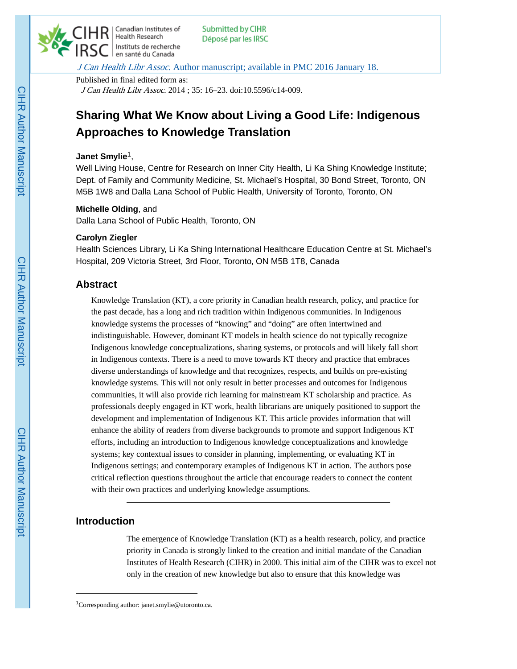

Canadian Institutes of **Health Research** Instituts de recherche en santé du Canada

**Submitted by CIHR** Déposé par les IRSC

J Can Health Libr Assoc. Author manuscript; available in PMC 2016 January 18.

Published in final edited form as:

J Can Health Libr Assoc. 2014 ; 35: 16–23. doi:10.5596/c14-009.

# **Sharing What We Know about Living a Good Life: Indigenous Approaches to Knowledge Translation**

### **Janet Smylie**1,

Well Living House, Centre for Research on Inner City Health, Li Ka Shing Knowledge Institute; Dept. of Family and Community Medicine, St. Michael's Hospital, 30 Bond Street, Toronto, ON M5B 1W8 and Dalla Lana School of Public Health, University of Toronto, Toronto, ON

#### **Michelle Olding**, and

Dalla Lana School of Public Health, Toronto, ON

#### **Carolyn Ziegler**

Health Sciences Library, Li Ka Shing International Healthcare Education Centre at St. Michael's Hospital, 209 Victoria Street, 3rd Floor, Toronto, ON M5B 1T8, Canada

## **Abstract**

Knowledge Translation (KT), a core priority in Canadian health research, policy, and practice for the past decade, has a long and rich tradition within Indigenous communities. In Indigenous knowledge systems the processes of "knowing" and "doing" are often intertwined and indistinguishable. However, dominant KT models in health science do not typically recognize Indigenous knowledge conceptualizations, sharing systems, or protocols and will likely fall short in Indigenous contexts. There is a need to move towards KT theory and practice that embraces diverse understandings of knowledge and that recognizes, respects, and builds on pre-existing knowledge systems. This will not only result in better processes and outcomes for Indigenous communities, it will also provide rich learning for mainstream KT scholarship and practice. As professionals deeply engaged in KT work, health librarians are uniquely positioned to support the development and implementation of Indigenous KT. This article provides information that will enhance the ability of readers from diverse backgrounds to promote and support Indigenous KT efforts, including an introduction to Indigenous knowledge conceptualizations and knowledge systems; key contextual issues to consider in planning, implementing, or evaluating KT in Indigenous settings; and contemporary examples of Indigenous KT in action. The authors pose critical reflection questions throughout the article that encourage readers to connect the content with their own practices and underlying knowledge assumptions.

## **Introduction**

The emergence of Knowledge Translation (KT) as a health research, policy, and practice priority in Canada is strongly linked to the creation and initial mandate of the Canadian Institutes of Health Research (CIHR) in 2000. This initial aim of the CIHR was to excel not only in the creation of new knowledge but also to ensure that this knowledge was

<sup>&</sup>lt;sup>1</sup>Corresponding author: janet.smylie@utoronto.ca.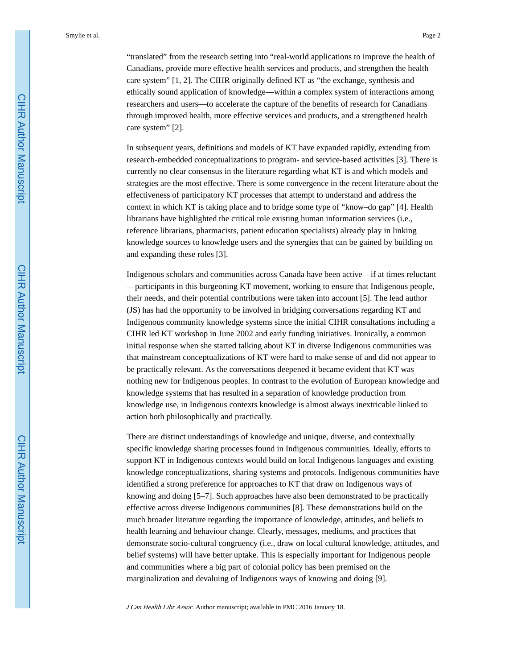Smylie et al. Page 2

"translated" from the research setting into "real-world applications to improve the health of Canadians, provide more effective health services and products, and strengthen the health care system" [1, 2]. The CIHR originally defined KT as "the exchange, synthesis and ethically sound application of knowledge—within a complex system of interactions among researchers and users—to accelerate the capture of the benefits of research for Canadians through improved health, more effective services and products, and a strengthened health care system" [2].

In subsequent years, definitions and models of KT have expanded rapidly, extending from research-embedded conceptualizations to program- and service-based activities [3]. There is currently no clear consensus in the literature regarding what KT is and which models and strategies are the most effective. There is some convergence in the recent literature about the effectiveness of participatory KT processes that attempt to understand and address the context in which KT is taking place and to bridge some type of "know–do gap" [4]. Health librarians have highlighted the critical role existing human information services (i.e., reference librarians, pharmacists, patient education specialists) already play in linking knowledge sources to knowledge users and the synergies that can be gained by building on and expanding these roles [3].

Indigenous scholars and communities across Canada have been active—if at times reluctant —participants in this burgeoning KT movement, working to ensure that Indigenous people, their needs, and their potential contributions were taken into account [5]. The lead author (JS) has had the opportunity to be involved in bridging conversations regarding KT and Indigenous community knowledge systems since the initial CIHR consultations including a CIHR led KT workshop in June 2002 and early funding initiatives. Ironically, a common initial response when she started talking about KT in diverse Indigenous communities was that mainstream conceptualizations of KT were hard to make sense of and did not appear to be practically relevant. As the conversations deepened it became evident that KT was nothing new for Indigenous peoples. In contrast to the evolution of European knowledge and knowledge systems that has resulted in a separation of knowledge production from knowledge use, in Indigenous contexts knowledge is almost always inextricable linked to action both philosophically and practically.

There are distinct understandings of knowledge and unique, diverse, and contextually specific knowledge sharing processes found in Indigenous communities. Ideally, efforts to support KT in Indigenous contexts would build on local Indigenous languages and existing knowledge conceptualizations, sharing systems and protocols. Indigenous communities have identified a strong preference for approaches to KT that draw on Indigenous ways of knowing and doing [5–7]. Such approaches have also been demonstrated to be practically effective across diverse Indigenous communities [8]. These demonstrations build on the much broader literature regarding the importance of knowledge, attitudes, and beliefs to health learning and behaviour change. Clearly, messages, mediums, and practices that demonstrate socio-cultural congruency (i.e., draw on local cultural knowledge, attitudes, and belief systems) will have better uptake. This is especially important for Indigenous people and communities where a big part of colonial policy has been premised on the marginalization and devaluing of Indigenous ways of knowing and doing [9].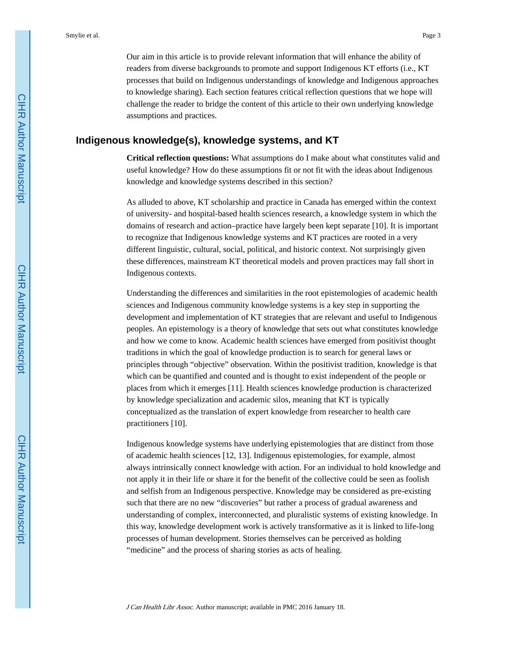Our aim in this article is to provide relevant information that will enhance the ability of readers from diverse backgrounds to promote and support Indigenous KT efforts (i.e., KT processes that build on Indigenous understandings of knowledge and Indigenous approaches to knowledge sharing). Each section features critical reflection questions that we hope will challenge the reader to bridge the content of this article to their own underlying knowledge assumptions and practices.

## **Indigenous knowledge(s), knowledge systems, and KT**

**Critical reflection questions:** What assumptions do I make about what constitutes valid and useful knowledge? How do these assumptions fit or not fit with the ideas about Indigenous knowledge and knowledge systems described in this section?

As alluded to above, KT scholarship and practice in Canada has emerged within the context of university- and hospital-based health sciences research, a knowledge system in which the domains of research and action–practice have largely been kept separate [10]. It is important to recognize that Indigenous knowledge systems and KT practices are rooted in a very different linguistic, cultural, social, political, and historic context. Not surprisingly given these differences, mainstream KT theoretical models and proven practices may fall short in Indigenous contexts.

Understanding the differences and similarities in the root epistemologies of academic health sciences and Indigenous community knowledge systems is a key step in supporting the development and implementation of KT strategies that are relevant and useful to Indigenous peoples. An epistemology is a theory of knowledge that sets out what constitutes knowledge and how we come to know. Academic health sciences have emerged from positivist thought traditions in which the goal of knowledge production is to search for general laws or principles through "objective" observation. Within the positivist tradition, knowledge is that which can be quantified and counted and is thought to exist independent of the people or places from which it emerges [11]. Health sciences knowledge production is characterized by knowledge specialization and academic silos, meaning that KT is typically conceptualized as the translation of expert knowledge from researcher to health care practitioners [10].

Indigenous knowledge systems have underlying epistemologies that are distinct from those of academic health sciences [12, 13]. Indigenous epistemologies, for example, almost always intrinsically connect knowledge with action. For an individual to hold knowledge and not apply it in their life or share it for the benefit of the collective could be seen as foolish and selfish from an Indigenous perspective. Knowledge may be considered as pre-existing such that there are no new "discoveries" but rather a process of gradual awareness and understanding of complex, interconnected, and pluralistic systems of existing knowledge. In this way, knowledge development work is actively transformative as it is linked to life-long processes of human development. Stories themselves can be perceived as holding "medicine" and the process of sharing stories as acts of healing.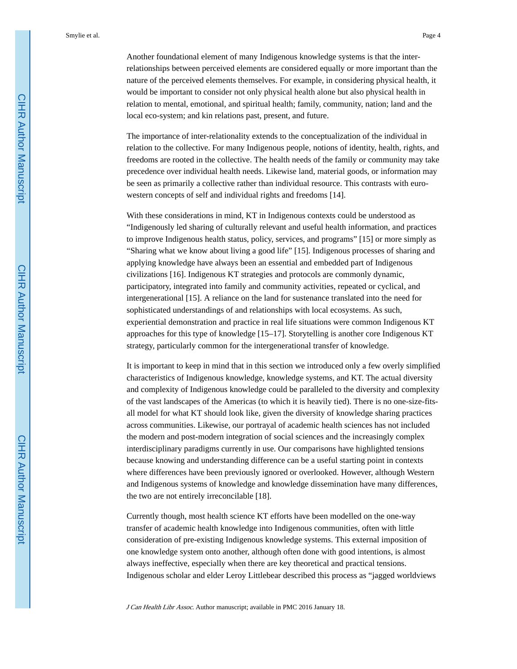Another foundational element of many Indigenous knowledge systems is that the interrelationships between perceived elements are considered equally or more important than the nature of the perceived elements themselves. For example, in considering physical health, it would be important to consider not only physical health alone but also physical health in relation to mental, emotional, and spiritual health; family, community, nation; land and the local eco-system; and kin relations past, present, and future.

The importance of inter-relationality extends to the conceptualization of the individual in relation to the collective. For many Indigenous people, notions of identity, health, rights, and freedoms are rooted in the collective. The health needs of the family or community may take precedence over individual health needs. Likewise land, material goods, or information may be seen as primarily a collective rather than individual resource. This contrasts with eurowestern concepts of self and individual rights and freedoms [14].

With these considerations in mind, KT in Indigenous contexts could be understood as "Indigenously led sharing of culturally relevant and useful health information, and practices to improve Indigenous health status, policy, services, and programs" [15] or more simply as "Sharing what we know about living a good life" [15]. Indigenous processes of sharing and applying knowledge have always been an essential and embedded part of Indigenous civilizations [16]. Indigenous KT strategies and protocols are commonly dynamic, participatory, integrated into family and community activities, repeated or cyclical, and intergenerational [15]. A reliance on the land for sustenance translated into the need for sophisticated understandings of and relationships with local ecosystems. As such, experiential demonstration and practice in real life situations were common Indigenous KT approaches for this type of knowledge [15–17]. Storytelling is another core Indigenous KT strategy, particularly common for the intergenerational transfer of knowledge.

It is important to keep in mind that in this section we introduced only a few overly simplified characteristics of Indigenous knowledge, knowledge systems, and KT. The actual diversity and complexity of Indigenous knowledge could be paralleled to the diversity and complexity of the vast landscapes of the Americas (to which it is heavily tied). There is no one-size-fitsall model for what KT should look like, given the diversity of knowledge sharing practices across communities. Likewise, our portrayal of academic health sciences has not included the modern and post-modern integration of social sciences and the increasingly complex interdisciplinary paradigms currently in use. Our comparisons have highlighted tensions because knowing and understanding difference can be a useful starting point in contexts where differences have been previously ignored or overlooked. However, although Western and Indigenous systems of knowledge and knowledge dissemination have many differences, the two are not entirely irreconcilable [18].

Currently though, most health science KT efforts have been modelled on the one-way transfer of academic health knowledge into Indigenous communities, often with little consideration of pre-existing Indigenous knowledge systems. This external imposition of one knowledge system onto another, although often done with good intentions, is almost always ineffective, especially when there are key theoretical and practical tensions. Indigenous scholar and elder Leroy Littlebear described this process as "jagged worldviews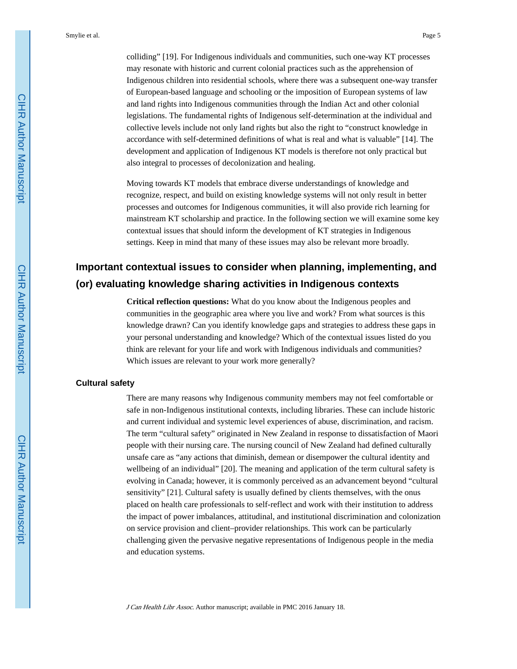colliding" [19]. For Indigenous individuals and communities, such one-way KT processes may resonate with historic and current colonial practices such as the apprehension of Indigenous children into residential schools, where there was a subsequent one-way transfer of European-based language and schooling or the imposition of European systems of law and land rights into Indigenous communities through the Indian Act and other colonial legislations. The fundamental rights of Indigenous self-determination at the individual and collective levels include not only land rights but also the right to "construct knowledge in accordance with self-determined definitions of what is real and what is valuable" [14]. The development and application of Indigenous KT models is therefore not only practical but also integral to processes of decolonization and healing.

Moving towards KT models that embrace diverse understandings of knowledge and recognize, respect, and build on existing knowledge systems will not only result in better processes and outcomes for Indigenous communities, it will also provide rich learning for mainstream KT scholarship and practice. In the following section we will examine some key contextual issues that should inform the development of KT strategies in Indigenous settings. Keep in mind that many of these issues may also be relevant more broadly.

# **Important contextual issues to consider when planning, implementing, and (or) evaluating knowledge sharing activities in Indigenous contexts**

**Critical reflection questions:** What do you know about the Indigenous peoples and communities in the geographic area where you live and work? From what sources is this knowledge drawn? Can you identify knowledge gaps and strategies to address these gaps in your personal understanding and knowledge? Which of the contextual issues listed do you think are relevant for your life and work with Indigenous individuals and communities? Which issues are relevant to your work more generally?

### **Cultural safety**

There are many reasons why Indigenous community members may not feel comfortable or safe in non-Indigenous institutional contexts, including libraries. These can include historic and current individual and systemic level experiences of abuse, discrimination, and racism. The term "cultural safety" originated in New Zealand in response to dissatisfaction of Maori people with their nursing care. The nursing council of New Zealand had defined culturally unsafe care as "any actions that diminish, demean or disempower the cultural identity and wellbeing of an individual" [20]. The meaning and application of the term cultural safety is evolving in Canada; however, it is commonly perceived as an advancement beyond "cultural sensitivity" [21]. Cultural safety is usually defined by clients themselves, with the onus placed on health care professionals to self-reflect and work with their institution to address the impact of power imbalances, attitudinal, and institutional discrimination and colonization on service provision and client–provider relationships. This work can be particularly challenging given the pervasive negative representations of Indigenous people in the media and education systems.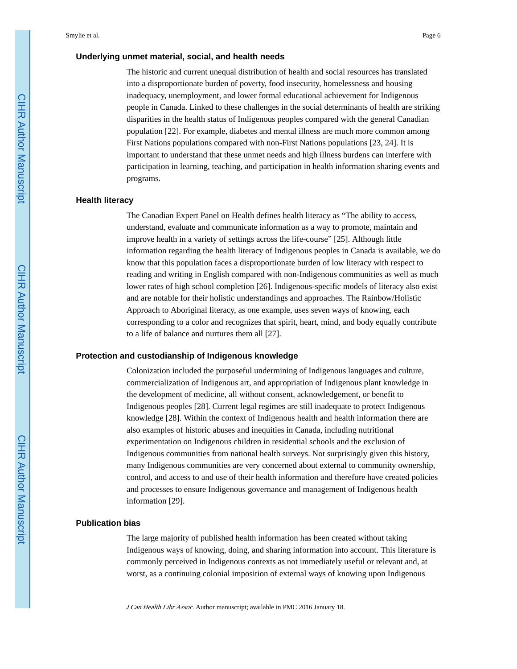#### **Underlying unmet material, social, and health needs**

The historic and current unequal distribution of health and social resources has translated into a disproportionate burden of poverty, food insecurity, homelessness and housing inadequacy, unemployment, and lower formal educational achievement for Indigenous people in Canada. Linked to these challenges in the social determinants of health are striking disparities in the health status of Indigenous peoples compared with the general Canadian population [22]. For example, diabetes and mental illness are much more common among First Nations populations compared with non-First Nations populations [23, 24]. It is important to understand that these unmet needs and high illness burdens can interfere with participation in learning, teaching, and participation in health information sharing events and programs.

### **Health literacy**

The Canadian Expert Panel on Health defines health literacy as "The ability to access, understand, evaluate and communicate information as a way to promote, maintain and improve health in a variety of settings across the life-course" [25]. Although little information regarding the health literacy of Indigenous peoples in Canada is available, we do know that this population faces a disproportionate burden of low literacy with respect to reading and writing in English compared with non-Indigenous communities as well as much lower rates of high school completion [26]. Indigenous-specific models of literacy also exist and are notable for their holistic understandings and approaches. The Rainbow/Holistic Approach to Aboriginal literacy, as one example, uses seven ways of knowing, each corresponding to a color and recognizes that spirit, heart, mind, and body equally contribute to a life of balance and nurtures them all [27].

#### **Protection and custodianship of Indigenous knowledge**

Colonization included the purposeful undermining of Indigenous languages and culture, commercialization of Indigenous art, and appropriation of Indigenous plant knowledge in the development of medicine, all without consent, acknowledgement, or benefit to Indigenous peoples [28]. Current legal regimes are still inadequate to protect Indigenous knowledge [28]. Within the context of Indigenous health and health information there are also examples of historic abuses and inequities in Canada, including nutritional experimentation on Indigenous children in residential schools and the exclusion of Indigenous communities from national health surveys. Not surprisingly given this history, many Indigenous communities are very concerned about external to community ownership, control, and access to and use of their health information and therefore have created policies and processes to ensure Indigenous governance and management of Indigenous health information [29].

#### **Publication bias**

The large majority of published health information has been created without taking Indigenous ways of knowing, doing, and sharing information into account. This literature is commonly perceived in Indigenous contexts as not immediately useful or relevant and, at worst, as a continuing colonial imposition of external ways of knowing upon Indigenous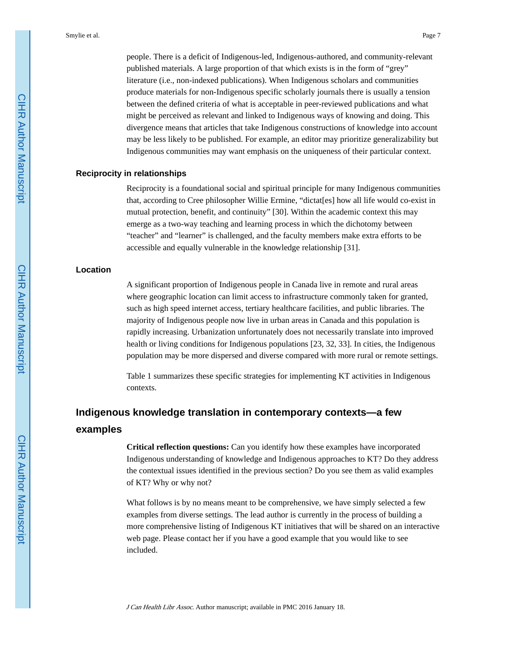Smylie et al. Page 7

people. There is a deficit of Indigenous-led, Indigenous-authored, and community-relevant published materials. A large proportion of that which exists is in the form of "grey" literature (i.e., non-indexed publications). When Indigenous scholars and communities produce materials for non-Indigenous specific scholarly journals there is usually a tension between the defined criteria of what is acceptable in peer-reviewed publications and what might be perceived as relevant and linked to Indigenous ways of knowing and doing. This divergence means that articles that take Indigenous constructions of knowledge into account may be less likely to be published. For example, an editor may prioritize generalizability but Indigenous communities may want emphasis on the uniqueness of their particular context.

### **Reciprocity in relationships**

Reciprocity is a foundational social and spiritual principle for many Indigenous communities that, according to Cree philosopher Willie Ermine, "dictat[es] how all life would co-exist in mutual protection, benefit, and continuity" [30]. Within the academic context this may emerge as a two-way teaching and learning process in which the dichotomy between "teacher" and "learner" is challenged, and the faculty members make extra efforts to be accessible and equally vulnerable in the knowledge relationship [31].

### **Location**

A significant proportion of Indigenous people in Canada live in remote and rural areas where geographic location can limit access to infrastructure commonly taken for granted, such as high speed internet access, tertiary healthcare facilities, and public libraries. The majority of Indigenous people now live in urban areas in Canada and this population is rapidly increasing. Urbanization unfortunately does not necessarily translate into improved health or living conditions for Indigenous populations [23, 32, 33]. In cities, the Indigenous population may be more dispersed and diverse compared with more rural or remote settings.

Table 1 summarizes these specific strategies for implementing KT activities in Indigenous contexts.

# **Indigenous knowledge translation in contemporary contexts—a few examples**

**Critical reflection questions:** Can you identify how these examples have incorporated Indigenous understanding of knowledge and Indigenous approaches to KT? Do they address the contextual issues identified in the previous section? Do you see them as valid examples of KT? Why or why not?

What follows is by no means meant to be comprehensive, we have simply selected a few examples from diverse settings. The lead author is currently in the process of building a more comprehensive listing of Indigenous KT initiatives that will be shared on an interactive web page. Please contact her if you have a good example that you would like to see included.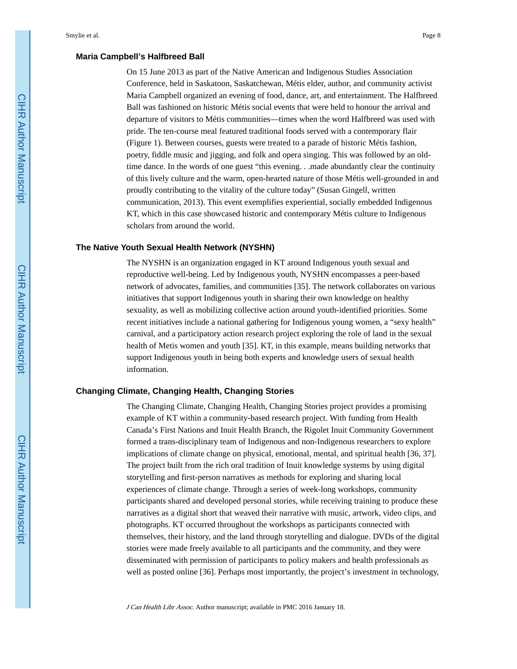#### **Maria Campbell's Halfbreed Ball**

On 15 June 2013 as part of the Native American and Indigenous Studies Association Conference, held in Saskatoon, Saskatchewan, Métis elder, author, and community activist Maria Campbell organized an evening of food, dance, art, and entertainment. The Halfbreed Ball was fashioned on historic Métis social events that were held to honour the arrival and departure of visitors to Métis communities—times when the word Halfbreed was used with pride. The ten-course meal featured traditional foods served with a contemporary flair (Figure 1). Between courses, guests were treated to a parade of historic Métis fashion, poetry, fiddle music and jigging, and folk and opera singing. This was followed by an oldtime dance. In the words of one guest "this evening. . .made abundantly clear the continuity of this lively culture and the warm, open-hearted nature of those Métis well-grounded in and proudly contributing to the vitality of the culture today" (Susan Gingell, written communication, 2013). This event exemplifies experiential, socially embedded Indigenous KT, which in this case showcased historic and contemporary Métis culture to Indigenous scholars from around the world.

#### **The Native Youth Sexual Health Network (NYSHN)**

The NYSHN is an organization engaged in KT around Indigenous youth sexual and reproductive well-being. Led by Indigenous youth, NYSHN encompasses a peer-based network of advocates, families, and communities [35]. The network collaborates on various initiatives that support Indigenous youth in sharing their own knowledge on healthy sexuality, as well as mobilizing collective action around youth-identified priorities. Some recent initiatives include a national gathering for Indigenous young women, a "sexy health" carnival, and a participatory action research project exploring the role of land in the sexual health of Metis women and youth [35]. KT, in this example, means building networks that support Indigenous youth in being both experts and knowledge users of sexual health information.

#### **Changing Climate, Changing Health, Changing Stories**

The Changing Climate, Changing Health, Changing Stories project provides a promising example of KT within a community-based research project. With funding from Health Canada's First Nations and Inuit Health Branch, the Rigolet Inuit Community Government formed a trans-disciplinary team of Indigenous and non-Indigenous researchers to explore implications of climate change on physical, emotional, mental, and spiritual health [36, 37]. The project built from the rich oral tradition of Inuit knowledge systems by using digital storytelling and first-person narratives as methods for exploring and sharing local experiences of climate change. Through a series of week-long workshops, community participants shared and developed personal stories, while receiving training to produce these narratives as a digital short that weaved their narrative with music, artwork, video clips, and photographs. KT occurred throughout the workshops as participants connected with themselves, their history, and the land through storytelling and dialogue. DVDs of the digital stories were made freely available to all participants and the community, and they were disseminated with permission of participants to policy makers and health professionals as well as posted online [36]. Perhaps most importantly, the project's investment in technology,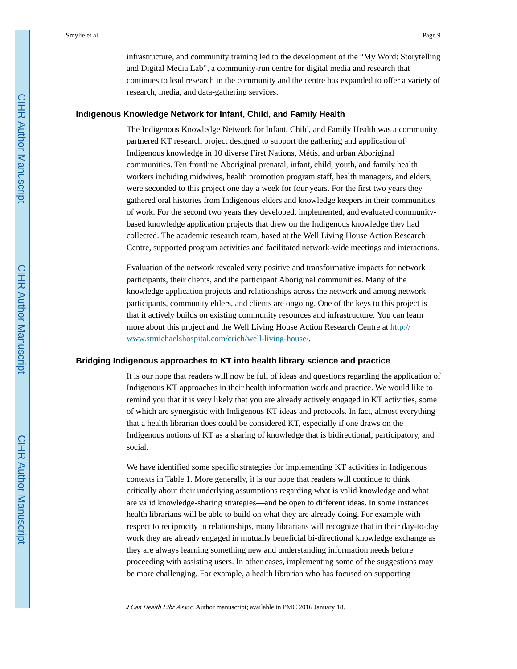infrastructure, and community training led to the development of the "My Word: Storytelling and Digital Media Lab", a community-run centre for digital media and research that continues to lead research in the community and the centre has expanded to offer a variety of research, media, and data-gathering services.

#### **Indigenous Knowledge Network for Infant, Child, and Family Health**

The Indigenous Knowledge Network for Infant, Child, and Family Health was a community partnered KT research project designed to support the gathering and application of Indigenous knowledge in 10 diverse First Nations, Métis, and urban Aboriginal communities. Ten frontline Aboriginal prenatal, infant, child, youth, and family health workers including midwives, health promotion program staff, health managers, and elders, were seconded to this project one day a week for four years. For the first two years they gathered oral histories from Indigenous elders and knowledge keepers in their communities of work. For the second two years they developed, implemented, and evaluated communitybased knowledge application projects that drew on the Indigenous knowledge they had collected. The academic research team, based at the Well Living House Action Research Centre, supported program activities and facilitated network-wide meetings and interactions.

Evaluation of the network revealed very positive and transformative impacts for network participants, their clients, and the participant Aboriginal communities. Many of the knowledge application projects and relationships across the network and among network participants, community elders, and clients are ongoing. One of the keys to this project is that it actively builds on existing community resources and infrastructure. You can learn more about this project and the Well Living House Action Research Centre at [http://](http://www.stmichaelshospital.com/crich/well-living-house/) [www.stmichaelshospital.com/crich/well-living-house/.](http://www.stmichaelshospital.com/crich/well-living-house/)

#### **Bridging Indigenous approaches to KT into health library science and practice**

It is our hope that readers will now be full of ideas and questions regarding the application of Indigenous KT approaches in their health information work and practice. We would like to remind you that it is very likely that you are already actively engaged in KT activities, some of which are synergistic with Indigenous KT ideas and protocols. In fact, almost everything that a health librarian does could be considered KT, especially if one draws on the Indigenous notions of KT as a sharing of knowledge that is bidirectional, participatory, and social.

We have identified some specific strategies for implementing KT activities in Indigenous contexts in Table 1. More generally, it is our hope that readers will continue to think critically about their underlying assumptions regarding what is valid knowledge and what are valid knowledge-sharing strategies—and be open to different ideas. In some instances health librarians will be able to build on what they are already doing. For example with respect to reciprocity in relationships, many librarians will recognize that in their day-to-day work they are already engaged in mutually beneficial bi-directional knowledge exchange as they are always learning something new and understanding information needs before proceeding with assisting users. In other cases, implementing some of the suggestions may be more challenging. For example, a health librarian who has focused on supporting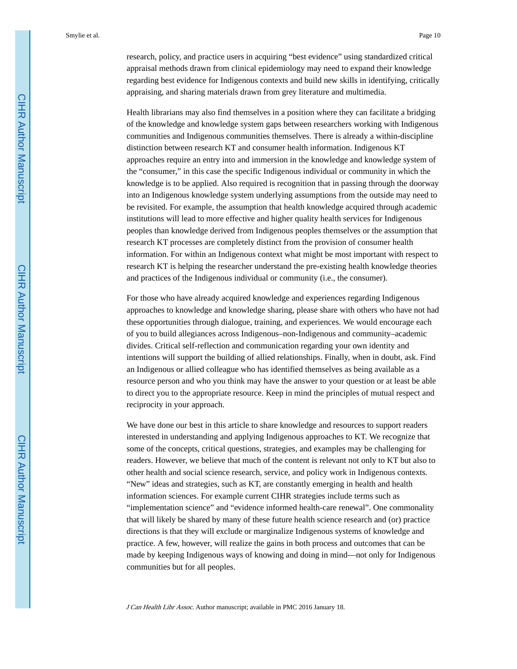research, policy, and practice users in acquiring "best evidence" using standardized critical appraisal methods drawn from clinical epidemiology may need to expand their knowledge regarding best evidence for Indigenous contexts and build new skills in identifying, critically appraising, and sharing materials drawn from grey literature and multimedia.

Health librarians may also find themselves in a position where they can facilitate a bridging of the knowledge and knowledge system gaps between researchers working with Indigenous communities and Indigenous communities themselves. There is already a within-discipline distinction between research KT and consumer health information. Indigenous KT approaches require an entry into and immersion in the knowledge and knowledge system of the "consumer," in this case the specific Indigenous individual or community in which the knowledge is to be applied. Also required is recognition that in passing through the doorway into an Indigenous knowledge system underlying assumptions from the outside may need to be revisited. For example, the assumption that health knowledge acquired through academic institutions will lead to more effective and higher quality health services for Indigenous peoples than knowledge derived from Indigenous peoples themselves or the assumption that research KT processes are completely distinct from the provision of consumer health information. For within an Indigenous context what might be most important with respect to research KT is helping the researcher understand the pre-existing health knowledge theories and practices of the Indigenous individual or community (i.e., the consumer).

For those who have already acquired knowledge and experiences regarding Indigenous approaches to knowledge and knowledge sharing, please share with others who have not had these opportunities through dialogue, training, and experiences. We would encourage each of you to build allegiances across Indigenous–non-Indigenous and community–academic divides. Critical self-reflection and communication regarding your own identity and intentions will support the building of allied relationships. Finally, when in doubt, ask. Find an Indigenous or allied colleague who has identified themselves as being available as a resource person and who you think may have the answer to your question or at least be able to direct you to the appropriate resource. Keep in mind the principles of mutual respect and reciprocity in your approach.

We have done our best in this article to share knowledge and resources to support readers interested in understanding and applying Indigenous approaches to KT. We recognize that some of the concepts, critical questions, strategies, and examples may be challenging for readers. However, we believe that much of the content is relevant not only to KT but also to other health and social science research, service, and policy work in Indigenous contexts. "New" ideas and strategies, such as KT, are constantly emerging in health and health information sciences. For example current CIHR strategies include terms such as "implementation science" and "evidence informed health-care renewal". One commonality that will likely be shared by many of these future health science research and (or) practice directions is that they will exclude or marginalize Indigenous systems of knowledge and practice. A few, however, will realize the gains in both process and outcomes that can be made by keeping Indigenous ways of knowing and doing in mind—not only for Indigenous communities but for all peoples.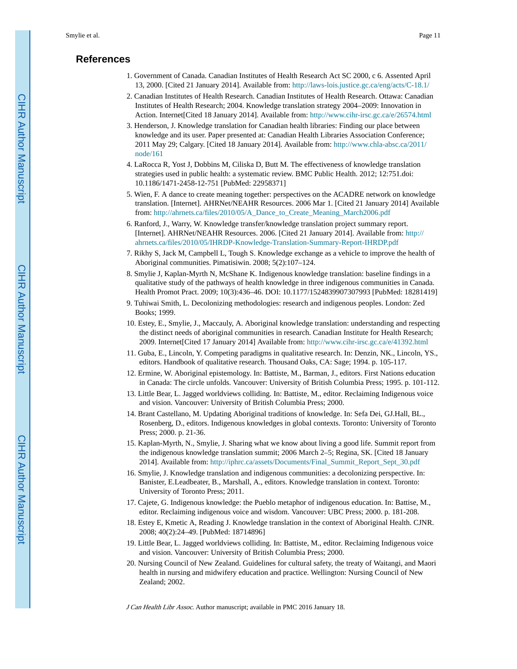## **References**

- 1. Government of Canada. Canadian Institutes of Health Research Act SC 2000, c 6. Assented April 13, 2000. [Cited 21 January 2014]. Available from:<http://laws-lois.justice.gc.ca/eng/acts/C-18.1/>
- 2. Canadian Institutes of Health Research. Canadian Institutes of Health Research. Ottawa: Canadian Institutes of Health Research; 2004. Knowledge translation strategy 2004–2009: Innovation in Action. Internet[Cited 18 January 2014]. Available from:<http://www.cihr-irsc.gc.ca/e/26574.html>
- 3. Henderson, J. Knowledge translation for Canadian health libraries: Finding our place between knowledge and its user. Paper presented at: Canadian Health Libraries Association Conference; 2011 May 29; Calgary. [Cited 18 January 2014]. Available from: [http://www.chla-absc.ca/2011/](http://www.chla-absc.ca/2011/node/161) [node/161](http://www.chla-absc.ca/2011/node/161)
- 4. LaRocca R, Yost J, Dobbins M, Ciliska D, Butt M. The effectiveness of knowledge translation strategies used in public health: a systematic review. BMC Public Health. 2012; 12:751.doi: 10.1186/1471-2458-12-751 [PubMed: 22958371]
- 5. Wien, F. A dance to create meaning together: perspectives on the ACADRE network on knowledge translation. [Internet]. AHRNet/NEAHR Resources. 2006 Mar 1. [Cited 21 January 2014] Available from: [http://ahrnets.ca/files/2010/05/A\\_Dance\\_to\\_Create\\_Meaning\\_March2006.pdf](http://ahrnets.ca/files/2010/05/A_Dance_to_Create_Meaning_March2006.pdf)
- 6. Ranford, J., Warry, W. Knowledge transfer/knowledge translation project summary report. [Internet]. AHRNet/NEAHR Resources. 2006. [Cited 21 January 2014]. Available from: [http://](http://ahrnets.ca/files/2010/05/IHRDP-Knowledge-Translation-Summary-Report-IHRDP.pdf) [ahrnets.ca/files/2010/05/IHRDP-Knowledge-Translation-Summary-Report-IHRDP.pdf](http://ahrnets.ca/files/2010/05/IHRDP-Knowledge-Translation-Summary-Report-IHRDP.pdf)
- 7. Rikhy S, Jack M, Campbell L, Tough S. Knowledge exchange as a vehicle to improve the health of Aboriginal communities. Pimatisiwin. 2008; 5(2):107–124.
- 8. Smylie J, Kaplan-Myrth N, McShane K. Indigenous knowledge translation: baseline findings in a qualitative study of the pathways of health knowledge in three indigenous communities in Canada. Health Promot Pract. 2009; 10(3):436–46. DOI: 10.1177/1524839907307993 [PubMed: 18281419]
- 9. Tuhiwai Smith, L. Decolonizing methodologies: research and indigenous peoples. London: Zed Books; 1999.
- 10. Estey, E., Smylie, J., Maccauly, A. Aboriginal knowledge translation: understanding and respecting the distinct needs of aboriginal communities in research. Canadian Institute for Health Research; 2009. Internet[Cited 17 January 2014] Available from: <http://www.cihr-irsc.gc.ca/e/41392.html>
- 11. Guba, E., Lincoln, Y. Competing paradigms in qualitative research. In: Denzin, NK., Lincoln, YS., editors. Handbook of qualitative research. Thousand Oaks, CA: Sage; 1994. p. 105-117.
- 12. Ermine, W. Aboriginal epistemology. In: Battiste, M., Barman, J., editors. First Nations education in Canada: The circle unfolds. Vancouver: University of British Columbia Press; 1995. p. 101-112.
- 13. Little Bear, L. Jagged worldviews colliding. In: Battiste, M., editor. Reclaiming Indigenous voice and vision. Vancouver: University of British Columbia Press; 2000.
- 14. Brant Castellano, M. Updating Aboriginal traditions of knowledge. In: Sefa Dei, GJ.Hall, BL., Rosenberg, D., editors. Indigenous knowledges in global contexts. Toronto: University of Toronto Press; 2000. p. 21-36.
- 15. Kaplan-Myrth, N., Smylie, J. Sharing what we know about living a good life. Summit report from the indigenous knowledge translation summit; 2006 March 2–5; Regina, SK. [Cited 18 January 2014]. Available from: [http://iphrc.ca/assets/Documents/Final\\_Summit\\_Report\\_Sept\\_30.pdf](http://iphrc.ca/assets/Documents/Final_Summit_Report_Sept_30.pdf)
- 16. Smylie, J. Knowledge translation and indigenous communities: a decolonizing perspective. In: Banister, E.Leadbeater, B., Marshall, A., editors. Knowledge translation in context. Toronto: University of Toronto Press; 2011.
- 17. Cajete, G. Indigenous knowledge: the Pueblo metaphor of indigenous education. In: Battise, M., editor. Reclaiming indigenous voice and wisdom. Vancouver: UBC Press; 2000. p. 181-208.
- 18. Estey E, Kmetic A, Reading J. Knowledge translation in the context of Aboriginal Health. CJNR. 2008; 40(2):24–49. [PubMed: 18714896]
- 19. Little Bear, L. Jagged worldviews colliding. In: Battiste, M., editor. Reclaiming Indigenous voice and vision. Vancouver: University of British Columbia Press; 2000.
- 20. Nursing Council of New Zealand. Guidelines for cultural safety, the treaty of Waitangi, and Maori health in nursing and midwifery education and practice. Wellington: Nursing Council of New Zealand; 2002.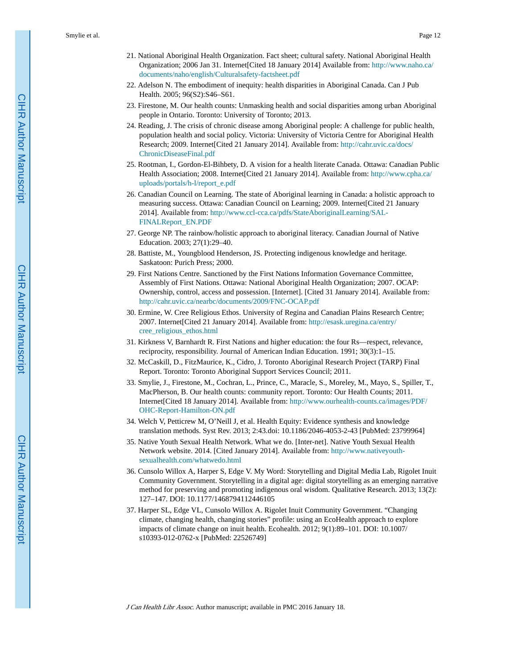Smylie et al. Page 12

- 21. National Aboriginal Health Organization. Fact sheet; cultural safety. National Aboriginal Health Organization; 2006 Jan 31. Internet[Cited 18 January 2014] Available from: [http://www.naho.ca/](http://www.naho.ca/documents/naho/english/Culturalsafety-factsheet.pdf) [documents/naho/english/Culturalsafety-factsheet.pdf](http://www.naho.ca/documents/naho/english/Culturalsafety-factsheet.pdf)
- 22. Adelson N. The embodiment of inequity: health disparities in Aboriginal Canada. Can J Pub Health. 2005; 96(S2):S46–S61.
- 23. Firestone, M. Our health counts: Unmasking health and social disparities among urban Aboriginal people in Ontario. Toronto: University of Toronto; 2013.
- 24. Reading, J. The crisis of chronic disease among Aboriginal people: A challenge for public health, population health and social policy. Victoria: University of Victoria Centre for Aboriginal Health Research; 2009. Internet[Cited 21 January 2014]. Available from: [http://cahr.uvic.ca/docs/](http://cahr.uvic.ca/docs/ChronicDiseaseFinal.pdf) [ChronicDiseaseFinal.pdf](http://cahr.uvic.ca/docs/ChronicDiseaseFinal.pdf)
- 25. Rootman, I., Gordon-El-Bihbety, D. A vision for a health literate Canada. Ottawa: Canadian Public Health Association; 2008. Internet[Cited 21 January 2014]. Available from: [http://www.cpha.ca/](http://www.cpha.ca/uploads/portals/h-l/report_e.pdf) [uploads/portals/h-l/report\\_e.pdf](http://www.cpha.ca/uploads/portals/h-l/report_e.pdf)
- 26. Canadian Council on Learning. The state of Aboriginal learning in Canada: a holistic approach to measuring success. Ottawa: Canadian Council on Learning; 2009. Internet[Cited 21 January 2014]. Available from: [http://www.ccl-cca.ca/pdfs/StateAboriginalLearning/SAL-](http://www.ccl-cca.ca/pdfs/StateAboriginalLearning/SAL-FINALReport_EN.PDF)[FINALReport\\_EN.PDF](http://www.ccl-cca.ca/pdfs/StateAboriginalLearning/SAL-FINALReport_EN.PDF)
- 27. George NP. The rainbow/holistic approach to aboriginal literacy. Canadian Journal of Native Education. 2003; 27(1):29–40.
- 28. Battiste, M., Youngblood Henderson, JS. Protecting indigenous knowledge and heritage. Saskatoon: Purich Press; 2000.
- 29. First Nations Centre. Sanctioned by the First Nations Information Governance Committee, Assembly of First Nations. Ottawa: National Aboriginal Health Organization; 2007. OCAP: Ownership, control, access and possession. [Internet]. [Cited 31 January 2014]. Available from: <http://cahr.uvic.ca/nearbc/documents/2009/FNC-OCAP.pdf>
- 30. Ermine, W. Cree Religious Ethos. University of Regina and Canadian Plains Research Centre; 2007. Internet[Cited 21 January 2014]. Available from: [http://esask.uregina.ca/entry/](http://esask.uregina.ca/entry/cree_religious_ethos.html) [cree\\_religious\\_ethos.html](http://esask.uregina.ca/entry/cree_religious_ethos.html)
- 31. Kirkness V, Barnhardt R. First Nations and higher education: the four Rs—respect, relevance, reciprocity, responsibility. Journal of American Indian Education. 1991; 30(3):1–15.
- 32. McCaskill, D., FitzMaurice, K., Cidro, J. Toronto Aboriginal Research Project (TARP) Final Report. Toronto: Toronto Aboriginal Support Services Council; 2011.
- 33. Smylie, J., Firestone, M., Cochran, L., Prince, C., Maracle, S., Moreley, M., Mayo, S., Spiller, T., MacPherson, B. Our health counts: community report. Toronto: Our Health Counts; 2011. Internet[Cited 18 January 2014]. Available from: [http://www.ourhealth-counts.ca/images/PDF/](http://www.ourhealth-counts.ca/images/PDF/OHC-Report-Hamilton-ON.pdf) [OHC-Report-Hamilton-ON.pdf](http://www.ourhealth-counts.ca/images/PDF/OHC-Report-Hamilton-ON.pdf)
- 34. Welch V, Petticrew M, O'Neill J, et al. Health Equity: Evidence synthesis and knowledge translation methods. Syst Rev. 2013; 2:43.doi: 10.1186/2046-4053-2-43 [PubMed: 23799964]
- 35. Native Youth Sexual Health Network. What we do. [Inter-net]. Native Youth Sexual Health Network website. 2014. [Cited January 2014]. Available from: [http://www.nativeyouth](http://www.nativeyouth-sexualhealth.com/whatwedo.html)[sexualhealth.com/whatwedo.html](http://www.nativeyouth-sexualhealth.com/whatwedo.html)
- 36. Cunsolo Willox A, Harper S, Edge V. My Word: Storytelling and Digital Media Lab, Rigolet Inuit Community Government. Storytelling in a digital age: digital storytelling as an emerging narrative method for preserving and promoting indigenous oral wisdom. Qualitative Research. 2013; 13(2): 127–147. DOI: 10.1177/1468794112446105
- 37. Harper SL, Edge VL, Cunsolo Willox A. Rigolet Inuit Community Government. "Changing climate, changing health, changing stories" profile: using an EcoHealth approach to explore impacts of climate change on inuit health. Ecohealth. 2012; 9(1):89–101. DOI: 10.1007/ s10393-012-0762-x [PubMed: 22526749]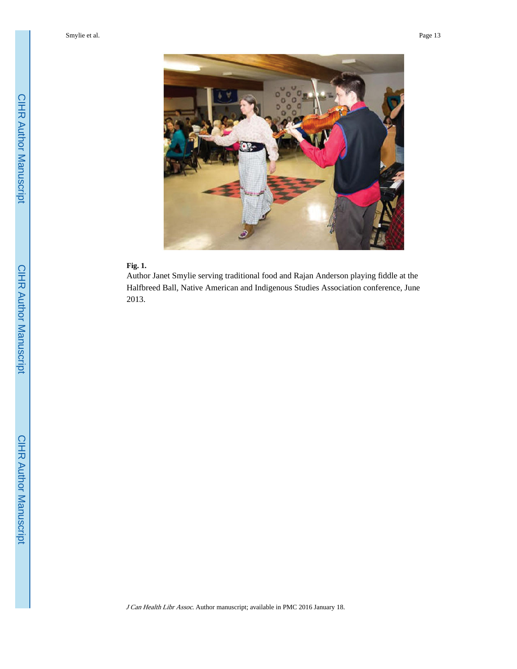

## **Fig. 1.**

Author Janet Smylie serving traditional food and Rajan Anderson playing fiddle at the Halfbreed Ball, Native American and Indigenous Studies Association conference, June 2013.